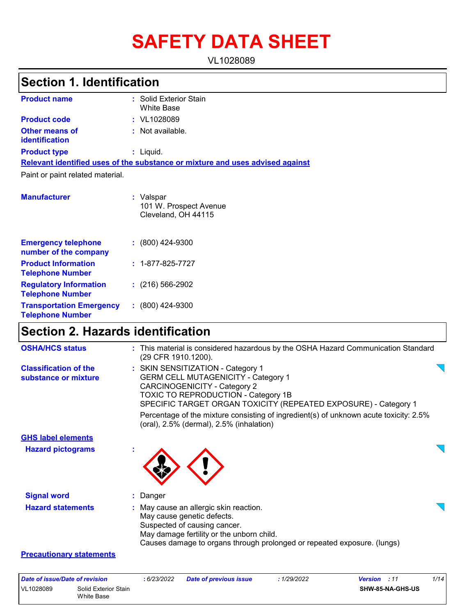# **SAFETY DATA SHEET**

VL1028089

### **Section 1. Identification**

| <b>Product name</b>                     | : Solid Exterior Stain<br><b>White Base</b>                                   |
|-----------------------------------------|-------------------------------------------------------------------------------|
| <b>Product code</b>                     | $:$ VL1028089                                                                 |
| <b>Other means of</b><br>identification | : Not available.                                                              |
| <b>Product type</b>                     | : Liquid.                                                                     |
|                                         | Relevant identified uses of the substance or mixture and uses advised against |
| Paint or paint related material.        |                                                                               |
| <b>Manufacturer</b>                     | : Valspar<br>101 W. Prospect Avenue<br>Cleveland, OH 44115                    |

| <b>Emergency telephone</b><br>number of the company        | $: (800)$ 424-9300       |
|------------------------------------------------------------|--------------------------|
| <b>Product Information</b><br><b>Telephone Number</b>      | $: 1 - 877 - 825 - 7727$ |
| <b>Regulatory Information</b><br><b>Telephone Number</b>   | $: (216) 566 - 2902$     |
| <b>Transportation Emergency</b><br><b>Telephone Number</b> | $: (800)$ 424-9300       |

### **Section 2. Hazards identification**

| <b>OSHA/HCS status</b>                               | : This material is considered hazardous by the OSHA Hazard Communication Standard<br>(29 CFR 1910.1200).                                                                                                                         |  |
|------------------------------------------------------|----------------------------------------------------------------------------------------------------------------------------------------------------------------------------------------------------------------------------------|--|
| <b>Classification of the</b><br>substance or mixture | : SKIN SENSITIZATION - Category 1<br><b>GERM CELL MUTAGENICITY - Category 1</b><br><b>CARCINOGENICITY - Category 2</b><br>TOXIC TO REPRODUCTION - Category 1B<br>SPECIFIC TARGET ORGAN TOXICITY (REPEATED EXPOSURE) - Category 1 |  |
|                                                      | Percentage of the mixture consisting of ingredient(s) of unknown acute toxicity: 2.5%<br>(oral), 2.5% (dermal), 2.5% (inhalation)                                                                                                |  |
| <b>GHS label elements</b>                            |                                                                                                                                                                                                                                  |  |
| <b>Hazard pictograms</b>                             |                                                                                                                                                                                                                                  |  |
| <b>Signal word</b>                                   | : Danger                                                                                                                                                                                                                         |  |
| <b>Hazard statements</b>                             | : May cause an allergic skin reaction.<br>May cause genetic defects.<br>Suspected of causing cancer.<br>May damage fertility or the unborn child.<br>Causes damage to organs through prolonged or repeated exposure. (lungs)     |  |
| <b>Precautionary statements</b>                      |                                                                                                                                                                                                                                  |  |

| Date of issue/Date of revision |                                    | 6/23/2022 | <b>Date of previous issue</b> | : 1/29/2022 | <b>Version</b> : 11 | 1/14 |
|--------------------------------|------------------------------------|-----------|-------------------------------|-------------|---------------------|------|
| VL1028089                      | Solid Exterior Stain<br>White Base |           |                               |             | SHW-85-NA-GHS-US    |      |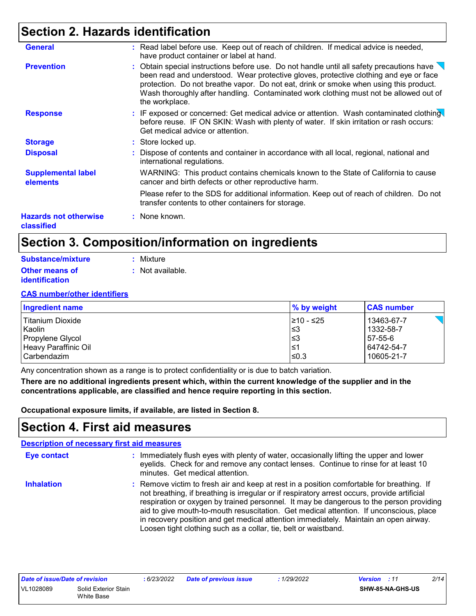### **Section 2. Hazards identification**

| <b>Hazards not otherwise</b><br>classified | : None known.                                                                                                                                                                                                                                                                                                                                                                                     |
|--------------------------------------------|---------------------------------------------------------------------------------------------------------------------------------------------------------------------------------------------------------------------------------------------------------------------------------------------------------------------------------------------------------------------------------------------------|
|                                            | Please refer to the SDS for additional information. Keep out of reach of children. Do not<br>transfer contents to other containers for storage.                                                                                                                                                                                                                                                   |
| <b>Supplemental label</b><br>elements      | WARNING: This product contains chemicals known to the State of California to cause<br>cancer and birth defects or other reproductive harm.                                                                                                                                                                                                                                                        |
| <b>Disposal</b>                            | : Dispose of contents and container in accordance with all local, regional, national and<br>international regulations.                                                                                                                                                                                                                                                                            |
| <b>Storage</b>                             | : Store locked up.                                                                                                                                                                                                                                                                                                                                                                                |
| <b>Response</b>                            | : IF exposed or concerned: Get medical advice or attention. Wash contaminated clothing<br>before reuse. IF ON SKIN: Wash with plenty of water. If skin irritation or rash occurs:<br>Get medical advice or attention.                                                                                                                                                                             |
| <b>Prevention</b>                          | : Obtain special instructions before use. Do not handle until all safety precautions have $\sqrt{ }$<br>been read and understood. Wear protective gloves, protective clothing and eye or face<br>protection. Do not breathe vapor. Do not eat, drink or smoke when using this product.<br>Wash thoroughly after handling. Contaminated work clothing must not be allowed out of<br>the workplace. |
| <b>General</b>                             | : Read label before use. Keep out of reach of children. If medical advice is needed,<br>have product container or label at hand.                                                                                                                                                                                                                                                                  |

### **Section 3. Composition/information on ingredients**

| Substance/mixture     | : Mixture        |
|-----------------------|------------------|
| <b>Other means of</b> | : Not available. |
| <i>identification</i> |                  |

#### **CAS number/other identifiers**

| <b>Ingredient name</b> | % by weight | <b>CAS number</b> |
|------------------------|-------------|-------------------|
| l Titanium Dioxide     | 1≥10 - ≤25  | 13463-67-7        |
| Kaolin                 | l≤3         | 1332-58-7         |
| Propylene Glycol       | l≤3         | 57-55-6           |
| Heavy Paraffinic Oil   | 1≥ا         | 64742-54-7        |
| l Carbendazim          | ≤0.3        | 10605-21-7        |

Any concentration shown as a range is to protect confidentiality or is due to batch variation.

**There are no additional ingredients present which, within the current knowledge of the supplier and in the concentrations applicable, are classified and hence require reporting in this section.**

**Occupational exposure limits, if available, are listed in Section 8.**

### **Section 4. First aid measures**

|                    | <b>Description of necessary first aid measures</b>                                                                                                                                                                                                                                                                                                                                                                                                                                                                                        |
|--------------------|-------------------------------------------------------------------------------------------------------------------------------------------------------------------------------------------------------------------------------------------------------------------------------------------------------------------------------------------------------------------------------------------------------------------------------------------------------------------------------------------------------------------------------------------|
| <b>Eye contact</b> | : Immediately flush eyes with plenty of water, occasionally lifting the upper and lower<br>eyelids. Check for and remove any contact lenses. Continue to rinse for at least 10<br>minutes. Get medical attention.                                                                                                                                                                                                                                                                                                                         |
| <b>Inhalation</b>  | : Remove victim to fresh air and keep at rest in a position comfortable for breathing. If<br>not breathing, if breathing is irregular or if respiratory arrest occurs, provide artificial<br>respiration or oxygen by trained personnel. It may be dangerous to the person providing<br>aid to give mouth-to-mouth resuscitation. Get medical attention. If unconscious, place<br>in recovery position and get medical attention immediately. Maintain an open airway.<br>Loosen tight clothing such as a collar, tie, belt or waistband. |

| Date of issue/Date of revision |                      | : 6/23/2022 | <b>Date of previous issue</b> | 1/29/2022 | <b>Version</b> : 11 |                         | 2/14 |
|--------------------------------|----------------------|-------------|-------------------------------|-----------|---------------------|-------------------------|------|
| VL1028089                      | Solid Exterior Stain |             |                               |           |                     | <b>SHW-85-NA-GHS-US</b> |      |
|                                | White Base           |             |                               |           |                     |                         |      |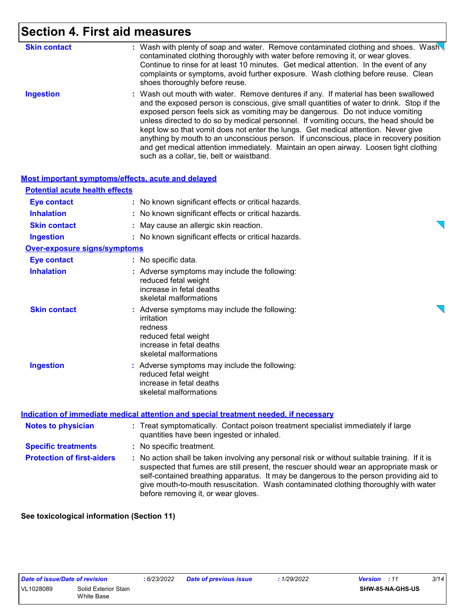### **Section 4. First aid measures**

| <b>Skin contact</b> | : Wash with plenty of soap and water. Remove contaminated clothing and shoes. Wash<br>contaminated clothing thoroughly with water before removing it, or wear gloves.<br>Continue to rinse for at least 10 minutes. Get medical attention. In the event of any<br>complaints or symptoms, avoid further exposure. Wash clothing before reuse. Clean<br>shoes thoroughly before reuse.                                                                                                                                                                                                                                                                                             |
|---------------------|-----------------------------------------------------------------------------------------------------------------------------------------------------------------------------------------------------------------------------------------------------------------------------------------------------------------------------------------------------------------------------------------------------------------------------------------------------------------------------------------------------------------------------------------------------------------------------------------------------------------------------------------------------------------------------------|
| <b>Ingestion</b>    | : Wash out mouth with water. Remove dentures if any. If material has been swallowed<br>and the exposed person is conscious, give small quantities of water to drink. Stop if the<br>exposed person feels sick as vomiting may be dangerous. Do not induce vomiting<br>unless directed to do so by medical personnel. If vomiting occurs, the head should be<br>kept low so that vomit does not enter the lungs. Get medical attention. Never give<br>anything by mouth to an unconscious person. If unconscious, place in recovery position<br>and get medical attention immediately. Maintain an open airway. Loosen tight clothing<br>such as a collar, tie, belt or waistband. |

|                                       | <b>Most important symptoms/effects, acute and delayed</b>                                                                                            |  |
|---------------------------------------|------------------------------------------------------------------------------------------------------------------------------------------------------|--|
| <b>Potential acute health effects</b> |                                                                                                                                                      |  |
| <b>Eye contact</b>                    | : No known significant effects or critical hazards.                                                                                                  |  |
| <b>Inhalation</b>                     | : No known significant effects or critical hazards.                                                                                                  |  |
| <b>Skin contact</b>                   | : May cause an allergic skin reaction.                                                                                                               |  |
| <b>Ingestion</b>                      | : No known significant effects or critical hazards.                                                                                                  |  |
| <b>Over-exposure signs/symptoms</b>   |                                                                                                                                                      |  |
| <b>Eye contact</b>                    | : No specific data.                                                                                                                                  |  |
| <b>Inhalation</b>                     | : Adverse symptoms may include the following:<br>reduced fetal weight<br>increase in fetal deaths<br>skeletal malformations                          |  |
| <b>Skin contact</b>                   | : Adverse symptoms may include the following:<br>irritation<br>redness<br>reduced fetal weight<br>increase in fetal deaths<br>skeletal malformations |  |
| <b>Ingestion</b>                      | : Adverse symptoms may include the following:<br>reduced fetal weight<br>increase in fetal deaths<br>skeletal malformations                          |  |
|                                       | Indication of immediate medical attention and special treatment needed, if necessary                                                                 |  |
| <b>Notes to physician</b>             | : Treat symptomatically. Contact poison treatment specialist immediately if large<br>quantities have been ingested or inhaled.                       |  |
|                                       |                                                                                                                                                      |  |

**Protection of first-aiders :** No action shall be taken involving any personal risk or without suitable training. If it is suspected that fumes are still present, the rescuer should wear an appropriate mask or **Specific treatments :** No specific treatment.

self-contained breathing apparatus. It may be dangerous to the person providing aid to give mouth-to-mouth resuscitation. Wash contaminated clothing thoroughly with water before removing it, or wear gloves.

**See toxicological information (Section 11)**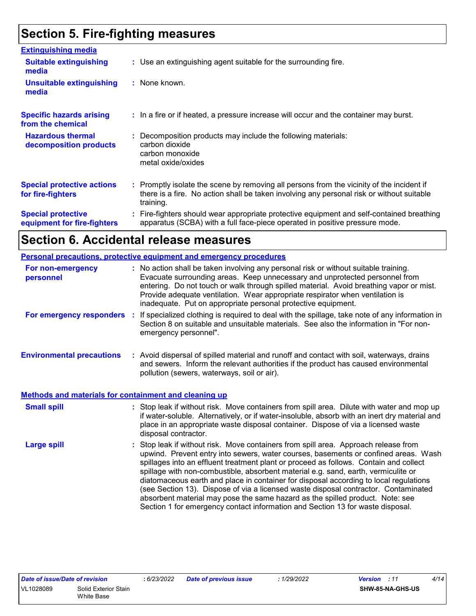### **Section 5. Fire-fighting measures**

| <b>Extinguishing media</b>                               |                                                                                                                                                                                                     |
|----------------------------------------------------------|-----------------------------------------------------------------------------------------------------------------------------------------------------------------------------------------------------|
| <b>Suitable extinguishing</b><br>media                   | : Use an extinguishing agent suitable for the surrounding fire.                                                                                                                                     |
| <b>Unsuitable extinguishing</b><br>media                 | : None known.                                                                                                                                                                                       |
| <b>Specific hazards arising</b><br>from the chemical     | : In a fire or if heated, a pressure increase will occur and the container may burst.                                                                                                               |
| <b>Hazardous thermal</b><br>decomposition products       | : Decomposition products may include the following materials:<br>carbon dioxide<br>carbon monoxide<br>metal oxide/oxides                                                                            |
| <b>Special protective actions</b><br>for fire-fighters   | : Promptly isolate the scene by removing all persons from the vicinity of the incident if<br>there is a fire. No action shall be taken involving any personal risk or without suitable<br>training. |
| <b>Special protective</b><br>equipment for fire-fighters | Fire-fighters should wear appropriate protective equipment and self-contained breathing<br>apparatus (SCBA) with a full face-piece operated in positive pressure mode.                              |

### **Section 6. Accidental release measures**

|                                                              | Personal precautions, protective equipment and emergency procedures                                                                                                                                                                                                                                                                                                                                                                                                                                                                                                                                                                                                                                          |
|--------------------------------------------------------------|--------------------------------------------------------------------------------------------------------------------------------------------------------------------------------------------------------------------------------------------------------------------------------------------------------------------------------------------------------------------------------------------------------------------------------------------------------------------------------------------------------------------------------------------------------------------------------------------------------------------------------------------------------------------------------------------------------------|
| For non-emergency<br>personnel                               | : No action shall be taken involving any personal risk or without suitable training.<br>Evacuate surrounding areas. Keep unnecessary and unprotected personnel from<br>entering. Do not touch or walk through spilled material. Avoid breathing vapor or mist.<br>Provide adequate ventilation. Wear appropriate respirator when ventilation is<br>inadequate. Put on appropriate personal protective equipment.                                                                                                                                                                                                                                                                                             |
| For emergency responders                                     | If specialized clothing is required to deal with the spillage, take note of any information in<br>÷.<br>Section 8 on suitable and unsuitable materials. See also the information in "For non-<br>emergency personnel".                                                                                                                                                                                                                                                                                                                                                                                                                                                                                       |
| <b>Environmental precautions</b>                             | : Avoid dispersal of spilled material and runoff and contact with soil, waterways, drains<br>and sewers. Inform the relevant authorities if the product has caused environmental<br>pollution (sewers, waterways, soil or air).                                                                                                                                                                                                                                                                                                                                                                                                                                                                              |
| <b>Methods and materials for containment and cleaning up</b> |                                                                                                                                                                                                                                                                                                                                                                                                                                                                                                                                                                                                                                                                                                              |
| <b>Small spill</b>                                           | : Stop leak if without risk. Move containers from spill area. Dilute with water and mop up<br>if water-soluble. Alternatively, or if water-insoluble, absorb with an inert dry material and<br>place in an appropriate waste disposal container. Dispose of via a licensed waste<br>disposal contractor.                                                                                                                                                                                                                                                                                                                                                                                                     |
| <b>Large spill</b>                                           | : Stop leak if without risk. Move containers from spill area. Approach release from<br>upwind. Prevent entry into sewers, water courses, basements or confined areas. Wash<br>spillages into an effluent treatment plant or proceed as follows. Contain and collect<br>spillage with non-combustible, absorbent material e.g. sand, earth, vermiculite or<br>diatomaceous earth and place in container for disposal according to local regulations<br>(see Section 13). Dispose of via a licensed waste disposal contractor. Contaminated<br>absorbent material may pose the same hazard as the spilled product. Note: see<br>Section 1 for emergency contact information and Section 13 for waste disposal. |

*Date of issue/Date of revision* **:** *6/23/2022 Date of previous issue : 1/29/2022 Version : 11 4/14*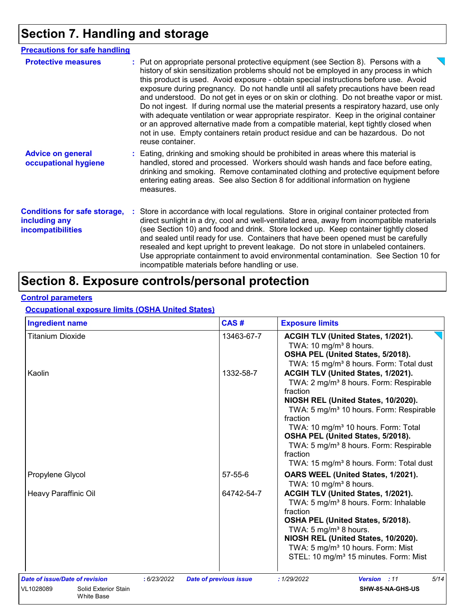# **Section 7. Handling and storage**

| <b>Precautions for safe handling</b>                                             |                                                                                                                                                                                                                                                                                                                                                                                                                                                                                                                                                                                                                                                                                                                                                                                                                                                 |
|----------------------------------------------------------------------------------|-------------------------------------------------------------------------------------------------------------------------------------------------------------------------------------------------------------------------------------------------------------------------------------------------------------------------------------------------------------------------------------------------------------------------------------------------------------------------------------------------------------------------------------------------------------------------------------------------------------------------------------------------------------------------------------------------------------------------------------------------------------------------------------------------------------------------------------------------|
| <b>Protective measures</b>                                                       | : Put on appropriate personal protective equipment (see Section 8). Persons with a<br>history of skin sensitization problems should not be employed in any process in which<br>this product is used. Avoid exposure - obtain special instructions before use. Avoid<br>exposure during pregnancy. Do not handle until all safety precautions have been read<br>and understood. Do not get in eyes or on skin or clothing. Do not breathe vapor or mist.<br>Do not ingest. If during normal use the material presents a respiratory hazard, use only<br>with adequate ventilation or wear appropriate respirator. Keep in the original container<br>or an approved alternative made from a compatible material, kept tightly closed when<br>not in use. Empty containers retain product residue and can be hazardous. Do not<br>reuse container. |
| <b>Advice on general</b><br>occupational hygiene                                 | : Eating, drinking and smoking should be prohibited in areas where this material is<br>handled, stored and processed. Workers should wash hands and face before eating,<br>drinking and smoking. Remove contaminated clothing and protective equipment before<br>entering eating areas. See also Section 8 for additional information on hygiene<br>measures.                                                                                                                                                                                                                                                                                                                                                                                                                                                                                   |
| <b>Conditions for safe storage,</b><br>including any<br><i>incompatibilities</i> | Store in accordance with local regulations. Store in original container protected from<br>direct sunlight in a dry, cool and well-ventilated area, away from incompatible materials<br>(see Section 10) and food and drink. Store locked up. Keep container tightly closed<br>and sealed until ready for use. Containers that have been opened must be carefully<br>resealed and kept upright to prevent leakage. Do not store in unlabeled containers.<br>Use appropriate containment to avoid environmental contamination. See Section 10 for<br>incompatible materials before handling or use.                                                                                                                                                                                                                                               |

### **Section 8. Exposure controls/personal protection**

#### **Control parameters**

### **Occupational exposure limits (OSHA United States)**

| <b>Ingredient name</b>                                                                   | CAS#                                         | <b>Exposure limits</b>                                                                                                                                                                                                                                                                                                                                                                                                          |
|------------------------------------------------------------------------------------------|----------------------------------------------|---------------------------------------------------------------------------------------------------------------------------------------------------------------------------------------------------------------------------------------------------------------------------------------------------------------------------------------------------------------------------------------------------------------------------------|
| Titanium Dioxide                                                                         | 13463-67-7                                   | ACGIH TLV (United States, 1/2021).<br>TWA: 10 mg/m <sup>3</sup> 8 hours.<br>OSHA PEL (United States, 5/2018).<br>TWA: 15 mg/m <sup>3</sup> 8 hours. Form: Total dust                                                                                                                                                                                                                                                            |
| Kaolin                                                                                   | 1332-58-7                                    | ACGIH TLV (United States, 1/2021).<br>TWA: 2 mg/m <sup>3</sup> 8 hours. Form: Respirable<br>fraction<br>NIOSH REL (United States, 10/2020).<br>TWA: 5 mg/m <sup>3</sup> 10 hours. Form: Respirable<br>fraction<br>TWA: 10 mg/m <sup>3</sup> 10 hours. Form: Total<br>OSHA PEL (United States, 5/2018).<br>TWA: 5 mg/m <sup>3</sup> 8 hours. Form: Respirable<br>fraction<br>TWA: 15 mg/m <sup>3</sup> 8 hours. Form: Total dust |
| Propylene Glycol                                                                         | $57 - 55 - 6$                                | OARS WEEL (United States, 1/2021).<br>TWA: 10 mg/m <sup>3</sup> 8 hours.                                                                                                                                                                                                                                                                                                                                                        |
| Heavy Paraffinic Oil                                                                     | 64742-54-7                                   | ACGIH TLV (United States, 1/2021).<br>TWA: 5 mg/m <sup>3</sup> 8 hours. Form: Inhalable<br>fraction<br>OSHA PEL (United States, 5/2018).<br>TWA: 5 mg/m <sup>3</sup> 8 hours.<br>NIOSH REL (United States, 10/2020).<br>TWA: 5 mg/m <sup>3</sup> 10 hours. Form: Mist<br>STEL: 10 mg/m <sup>3</sup> 15 minutes. Form: Mist                                                                                                      |
| Date of issue/Date of revision<br>VL1028089<br>Solid Exterior Stain<br><b>White Base</b> | : 6/23/2022<br><b>Date of previous issue</b> | 5/14<br>: 1/29/2022<br>Version : 11<br>SHW-85-NA-GHS-US                                                                                                                                                                                                                                                                                                                                                                         |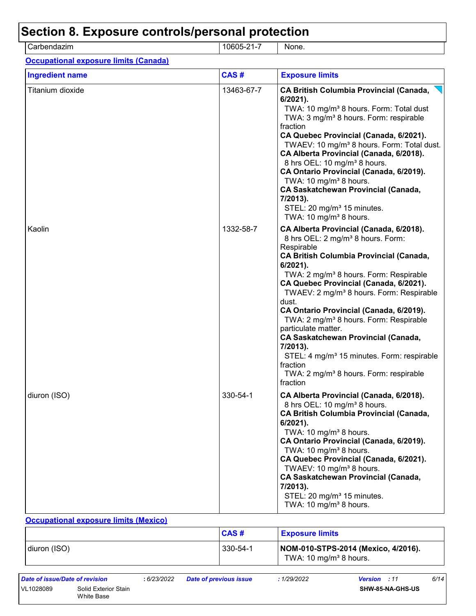| Carbendazim                                  | 10605-21-7 | None.                                                                                                                                                                                                                                                                                                                                                                                                                                                                                                                                                                                                                                                           |
|----------------------------------------------|------------|-----------------------------------------------------------------------------------------------------------------------------------------------------------------------------------------------------------------------------------------------------------------------------------------------------------------------------------------------------------------------------------------------------------------------------------------------------------------------------------------------------------------------------------------------------------------------------------------------------------------------------------------------------------------|
| <b>Occupational exposure limits (Canada)</b> |            |                                                                                                                                                                                                                                                                                                                                                                                                                                                                                                                                                                                                                                                                 |
| <b>Ingredient name</b>                       | CAS#       | <b>Exposure limits</b>                                                                                                                                                                                                                                                                                                                                                                                                                                                                                                                                                                                                                                          |
| Titanium dioxide                             | 13463-67-7 | <b>CA British Columbia Provincial (Canada,</b><br>$6/2021$ ).<br>TWA: 10 mg/m <sup>3</sup> 8 hours. Form: Total dust<br>TWA: 3 mg/m <sup>3</sup> 8 hours. Form: respirable<br>fraction<br>CA Quebec Provincial (Canada, 6/2021).<br>TWAEV: 10 mg/m <sup>3</sup> 8 hours. Form: Total dust.<br>CA Alberta Provincial (Canada, 6/2018).<br>8 hrs OEL: 10 mg/m <sup>3</sup> 8 hours.<br>CA Ontario Provincial (Canada, 6/2019).<br>TWA: 10 mg/m <sup>3</sup> 8 hours.<br><b>CA Saskatchewan Provincial (Canada,</b><br>7/2013).<br>STEL: 20 mg/m <sup>3</sup> 15 minutes.<br>TWA: 10 mg/m <sup>3</sup> 8 hours.                                                    |
| Kaolin                                       | 1332-58-7  | CA Alberta Provincial (Canada, 6/2018).<br>8 hrs OEL: 2 mg/m <sup>3</sup> 8 hours. Form:<br>Respirable<br><b>CA British Columbia Provincial (Canada,</b><br>6/2021).<br>TWA: 2 mg/m <sup>3</sup> 8 hours. Form: Respirable<br>CA Quebec Provincial (Canada, 6/2021).<br>TWAEV: 2 mg/m <sup>3</sup> 8 hours. Form: Respirable<br>dust.<br>CA Ontario Provincial (Canada, 6/2019).<br>TWA: 2 mg/m <sup>3</sup> 8 hours. Form: Respirable<br>particulate matter.<br><b>CA Saskatchewan Provincial (Canada,</b><br>7/2013).<br>STEL: 4 mg/m <sup>3</sup> 15 minutes. Form: respirable<br>fraction<br>TWA: 2 mg/m <sup>3</sup> 8 hours. Form: respirable<br>fraction |
| diuron (ISO)                                 | 330-54-1   | CA Alberta Provincial (Canada, 6/2018).<br>8 hrs OEL: 10 mg/m <sup>3</sup> 8 hours.<br><b>CA British Columbia Provincial (Canada,</b><br>6/2021).<br>TWA: 10 mg/m <sup>3</sup> 8 hours.<br>CA Ontario Provincial (Canada, 6/2019).<br>TWA: 10 mg/m <sup>3</sup> 8 hours.<br>CA Quebec Provincial (Canada, 6/2021).<br>TWAEV: 10 mg/m <sup>3</sup> 8 hours.<br><b>CA Saskatchewan Provincial (Canada,</b><br>7/2013).<br>STEL: 20 mg/m <sup>3</sup> 15 minutes.<br>TWA: 10 mg/m <sup>3</sup> 8 hours.                                                                                                                                                            |

#### diuron (ISO) 330-54-1 **NOM-010-STPS-2014 (Mexico, 4/2016).** TWA: 10 mg/mª 8 hours. **Exposure limits CAS #**

|                                                 | Date of issue/Date of revision |  | 6/23/2022 | <b>Date of previous issue</b> | 1/29/2022        | <b>Version</b> : 11 | 6/14 |
|-------------------------------------------------|--------------------------------|--|-----------|-------------------------------|------------------|---------------------|------|
| VL1028089<br>Solid Exterior Stain<br>White Base |                                |  |           |                               | SHW-85-NA-GHS-US |                     |      |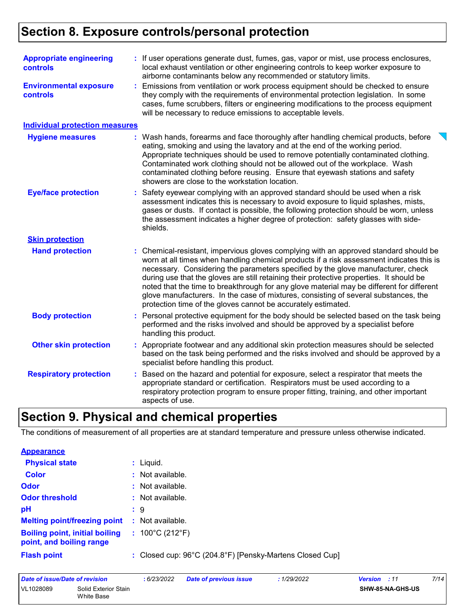### **Section 8. Exposure controls/personal protection**

| <b>Appropriate engineering</b><br>controls<br><b>Environmental exposure</b><br><b>controls</b> | : If user operations generate dust, fumes, gas, vapor or mist, use process enclosures,<br>local exhaust ventilation or other engineering controls to keep worker exposure to<br>airborne contaminants below any recommended or statutory limits.<br>Emissions from ventilation or work process equipment should be checked to ensure<br>they comply with the requirements of environmental protection legislation. In some                                                                                                                                                                                           |
|------------------------------------------------------------------------------------------------|----------------------------------------------------------------------------------------------------------------------------------------------------------------------------------------------------------------------------------------------------------------------------------------------------------------------------------------------------------------------------------------------------------------------------------------------------------------------------------------------------------------------------------------------------------------------------------------------------------------------|
|                                                                                                | cases, fume scrubbers, filters or engineering modifications to the process equipment<br>will be necessary to reduce emissions to acceptable levels.                                                                                                                                                                                                                                                                                                                                                                                                                                                                  |
| <b>Individual protection measures</b>                                                          |                                                                                                                                                                                                                                                                                                                                                                                                                                                                                                                                                                                                                      |
| <b>Hygiene measures</b>                                                                        | Wash hands, forearms and face thoroughly after handling chemical products, before<br>eating, smoking and using the lavatory and at the end of the working period.<br>Appropriate techniques should be used to remove potentially contaminated clothing.<br>Contaminated work clothing should not be allowed out of the workplace. Wash<br>contaminated clothing before reusing. Ensure that eyewash stations and safety<br>showers are close to the workstation location.                                                                                                                                            |
| <b>Eye/face protection</b>                                                                     | Safety eyewear complying with an approved standard should be used when a risk<br>assessment indicates this is necessary to avoid exposure to liquid splashes, mists,<br>gases or dusts. If contact is possible, the following protection should be worn, unless<br>the assessment indicates a higher degree of protection: safety glasses with side-<br>shields.                                                                                                                                                                                                                                                     |
| <b>Skin protection</b>                                                                         |                                                                                                                                                                                                                                                                                                                                                                                                                                                                                                                                                                                                                      |
| <b>Hand protection</b>                                                                         | Chemical-resistant, impervious gloves complying with an approved standard should be<br>worn at all times when handling chemical products if a risk assessment indicates this is<br>necessary. Considering the parameters specified by the glove manufacturer, check<br>during use that the gloves are still retaining their protective properties. It should be<br>noted that the time to breakthrough for any glove material may be different for different<br>glove manufacturers. In the case of mixtures, consisting of several substances, the<br>protection time of the gloves cannot be accurately estimated. |
| <b>Body protection</b>                                                                         | Personal protective equipment for the body should be selected based on the task being<br>performed and the risks involved and should be approved by a specialist before<br>handling this product.                                                                                                                                                                                                                                                                                                                                                                                                                    |
| <b>Other skin protection</b>                                                                   | Appropriate footwear and any additional skin protection measures should be selected<br>based on the task being performed and the risks involved and should be approved by a<br>specialist before handling this product.                                                                                                                                                                                                                                                                                                                                                                                              |
| <b>Respiratory protection</b>                                                                  | Based on the hazard and potential for exposure, select a respirator that meets the<br>appropriate standard or certification. Respirators must be used according to a<br>respiratory protection program to ensure proper fitting, training, and other important<br>aspects of use.                                                                                                                                                                                                                                                                                                                                    |

### **Section 9. Physical and chemical properties**

The conditions of measurement of all properties are at standard temperature and pressure unless otherwise indicated.

| <b>Appearance</b>                                                 |                                                          |
|-------------------------------------------------------------------|----------------------------------------------------------|
| <b>Physical state</b>                                             | : Liquid.                                                |
| <b>Color</b>                                                      | : Not available.                                         |
| Odor                                                              | $\therefore$ Not available.                              |
| <b>Odor threshold</b>                                             | : Not available.                                         |
| pH                                                                | : 9                                                      |
| <b>Melting point/freezing point</b>                               | : Not available.                                         |
| <b>Boiling point, initial boiling</b><br>point, and boiling range | : $100^{\circ}$ C (212 $^{\circ}$ F)                     |
| <b>Flash point</b>                                                | : Closed cup: 96°C (204.8°F) [Pensky-Martens Closed Cup] |

| Date of issue/Date of revision |                                    | : 6/23/2022 | Date of previous issue | : 1/29/2022 | <b>Version</b> : 11 |                         | 7/14 |
|--------------------------------|------------------------------------|-------------|------------------------|-------------|---------------------|-------------------------|------|
| VL1028089                      | Solid Exterior Stain<br>White Base |             |                        |             |                     | <b>SHW-85-NA-GHS-US</b> |      |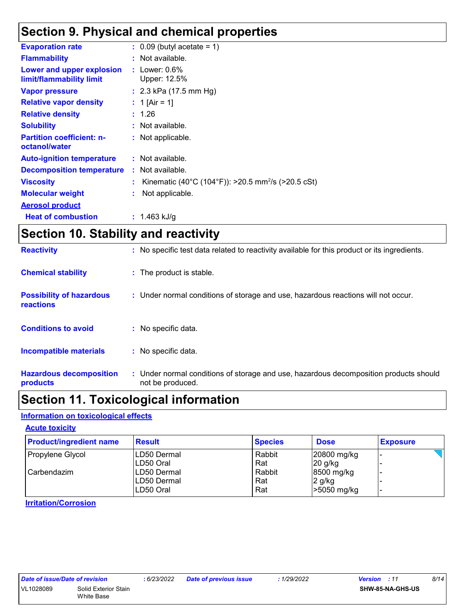### **Section 9. Physical and chemical properties**

| <b>Evaporation rate</b>                               | $\therefore$ 0.09 (butyl acetate = 1)                            |
|-------------------------------------------------------|------------------------------------------------------------------|
| <b>Flammability</b>                                   | $:$ Not available.                                               |
| Lower and upper explosion<br>limit/flammability limit | : Lower: $0.6\%$<br>Upper: 12.5%                                 |
| <b>Vapor pressure</b>                                 | : $2.3$ kPa (17.5 mm Hg)                                         |
| <b>Relative vapor density</b>                         | : 1 [Air = 1]                                                    |
| <b>Relative density</b>                               | : 1.26                                                           |
| <b>Solubility</b>                                     | : Not available.                                                 |
| <b>Partition coefficient: n-</b><br>octanol/water     | : Not applicable.                                                |
| <b>Auto-ignition temperature</b>                      | : Not available.                                                 |
| <b>Decomposition temperature</b>                      | : Not available.                                                 |
| <b>Viscosity</b>                                      | : Kinematic (40°C (104°F)): >20.5 mm <sup>2</sup> /s (>20.5 cSt) |
| <b>Molecular weight</b>                               | : Not applicable.                                                |
| <b>Aerosol product</b>                                |                                                                  |
| <b>Heat of combustion</b>                             | : 1.463 kJ/q                                                     |

### **Section 10. Stability and reactivity**

| <b>Reactivity</b>                                   | : No specific test data related to reactivity available for this product or its ingredients.              |
|-----------------------------------------------------|-----------------------------------------------------------------------------------------------------------|
| <b>Chemical stability</b>                           | : The product is stable.                                                                                  |
| <b>Possibility of hazardous</b><br><b>reactions</b> | : Under normal conditions of storage and use, hazardous reactions will not occur.                         |
| <b>Conditions to avoid</b>                          | $:$ No specific data.                                                                                     |
| <b>Incompatible materials</b>                       | : No specific data.                                                                                       |
| <b>Hazardous decomposition</b><br>products          | : Under normal conditions of storage and use, hazardous decomposition products should<br>not be produced. |

### **Section 11. Toxicological information**

### **Information on toxicological effects**

#### **Acute toxicity**

| <b>Product/ingredient name</b> | <b>Result</b> | <b>Species</b> | <b>Dose</b>   | <b>Exposure</b> |
|--------------------------------|---------------|----------------|---------------|-----------------|
| Propylene Glycol               | ILD50 Dermal  | Rabbit         | 20800 mg/kg   |                 |
|                                | ILD50 Oral    | Rat            | $20$ g/kg     |                 |
| Carbendazim                    | ILD50 Dermal  | Rabbit         | 8500 mg/kg    |                 |
|                                | ILD50 Dermal  | Rat            | $2$ g/kg      |                 |
|                                | LD50 Oral     | Rat            | $>5050$ mg/kg |                 |

**Irritation/Corrosion**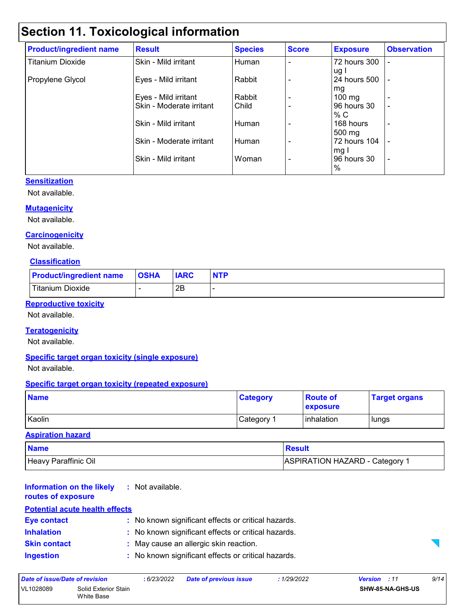### **Section 11. Toxicological information**

| <b>Product/ingredient name</b> | <b>Result</b>            | <b>Species</b> | <b>Score</b>             | <b>Exposure</b>  | <b>Observation</b> |
|--------------------------------|--------------------------|----------------|--------------------------|------------------|--------------------|
| <b>Titanium Dioxide</b>        | Skin - Mild irritant     | Human          |                          | 72 hours 300     |                    |
|                                |                          |                |                          | ug I             |                    |
| Propylene Glycol               | Eyes - Mild irritant     | Rabbit         |                          | 24 hours 500     |                    |
|                                |                          |                |                          | mg               |                    |
|                                | Eyes - Mild irritant     | Rabbit         |                          | $100 \text{ mg}$ |                    |
|                                | Skin - Moderate irritant | Child          |                          | 96 hours 30      | ٠                  |
|                                |                          |                |                          | % C              |                    |
|                                | Skin - Mild irritant     | Human          |                          | 168 hours        | $\overline{a}$     |
|                                |                          |                |                          | 500 mg           |                    |
|                                | Skin - Moderate irritant | Human          |                          | 72 hours 104     |                    |
|                                |                          |                |                          | mg I             |                    |
|                                | Skin - Mild irritant     | Woman          | $\overline{\phantom{0}}$ | l 96 hours 30    | ٠                  |
|                                |                          |                |                          | %                |                    |

#### **Sensitization**

Not available.

#### **Mutagenicity**

Not available.

#### **Carcinogenicity**

Not available.

#### **Classification**

| <b>Product/ingredient name</b> | <b>OSHA</b> | <b>IARC</b> | <b>NTP</b> |
|--------------------------------|-------------|-------------|------------|
| Titanium Dioxide               |             | 2Β          |            |

#### **Reproductive toxicity**

Not available.

#### **Teratogenicity**

Not available.

#### **Specific target organ toxicity (single exposure)**

Not available.

#### **Specific target organ toxicity (repeated exposure)**

| <b>Name</b> | <b>Category</b>        | <b>Route of</b><br><b>exposure</b> | <b>Target organs</b> |
|-------------|------------------------|------------------------------------|----------------------|
| Kaolin      | ∣Category <sup>⊿</sup> | inhalation                         | lungs                |

#### **Aspiration hazard**

| <b>Name</b>          | <b>Result</b>                |
|----------------------|------------------------------|
| Heavy Paraffinic Oil | ASPIRATION HAZARD - Category |

#### **Information on the likely routes of exposure :** Not available.

| <b>Potential acute health effects</b> |                                                     |
|---------------------------------------|-----------------------------------------------------|
| <b>Eye contact</b>                    | : No known significant effects or critical hazards. |
| <b>Inhalation</b>                     | : No known significant effects or critical hazards. |
| <b>Skin contact</b>                   | : May cause an allergic skin reaction.              |
| <b>Ingestion</b>                      | : No known significant effects or critical hazards. |



*Date of issue/Date of revision* **:** *6/23/2022 Date of previous issue : 1/29/2022 Version : 11 9/14* VL1028089 Solid Exterior Stain White Base **SHW-85-NA-GHS-US**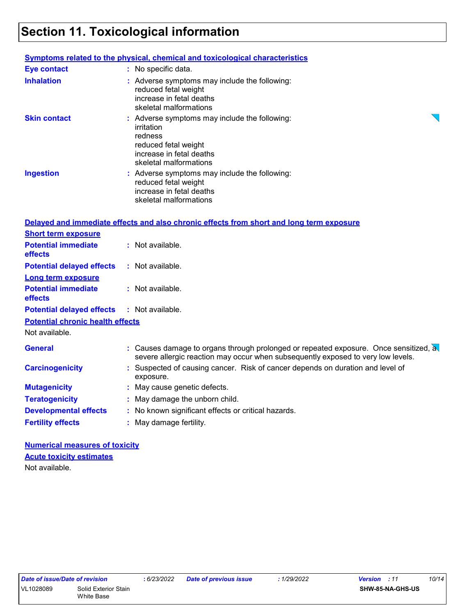### **Section 11. Toxicological information**

|                                              | <b>Symptoms related to the physical, chemical and toxicological characteristics</b>                                                                                      |
|----------------------------------------------|--------------------------------------------------------------------------------------------------------------------------------------------------------------------------|
| <b>Eye contact</b>                           | : No specific data.                                                                                                                                                      |
| <b>Inhalation</b>                            | : Adverse symptoms may include the following:<br>reduced fetal weight<br>increase in fetal deaths<br>skeletal malformations                                              |
| <b>Skin contact</b>                          | : Adverse symptoms may include the following:<br>irritation<br>redness<br>reduced fetal weight<br>increase in fetal deaths<br>skeletal malformations                     |
| <b>Ingestion</b>                             | : Adverse symptoms may include the following:<br>reduced fetal weight<br>increase in fetal deaths<br>skeletal malformations                                              |
|                                              | Delayed and immediate effects and also chronic effects from short and long term exposure                                                                                 |
| <b>Short term exposure</b>                   |                                                                                                                                                                          |
| <b>Potential immediate</b><br><b>effects</b> | : Not available.                                                                                                                                                         |
| <b>Potential delayed effects</b>             | : Not available.                                                                                                                                                         |
| <b>Long term exposure</b>                    |                                                                                                                                                                          |
| <b>Potential immediate</b><br><b>effects</b> | : Not available.                                                                                                                                                         |
| <b>Potential delayed effects</b>             | $:$ Not available.                                                                                                                                                       |
| <b>Potential chronic health effects</b>      |                                                                                                                                                                          |
| Not available.                               |                                                                                                                                                                          |
| <b>General</b>                               | : Causes damage to organs through prolonged or repeated exposure. Once sensitized, a<br>severe allergic reaction may occur when subsequently exposed to very low levels. |
| <b>Carcinogenicity</b>                       | : Suspected of causing cancer. Risk of cancer depends on duration and level of<br>exposure.                                                                              |
| <b>Mutagenicity</b>                          | : May cause genetic defects.                                                                                                                                             |
| <b>Teratogenicity</b>                        | : May damage the unborn child.                                                                                                                                           |
| <b>Developmental effects</b>                 | : No known significant effects or critical hazards.                                                                                                                      |
| <b>Fertility effects</b>                     | : May damage fertility.                                                                                                                                                  |
|                                              |                                                                                                                                                                          |

**Numerical measures of toxicity** Not available. **Acute toxicity estimates**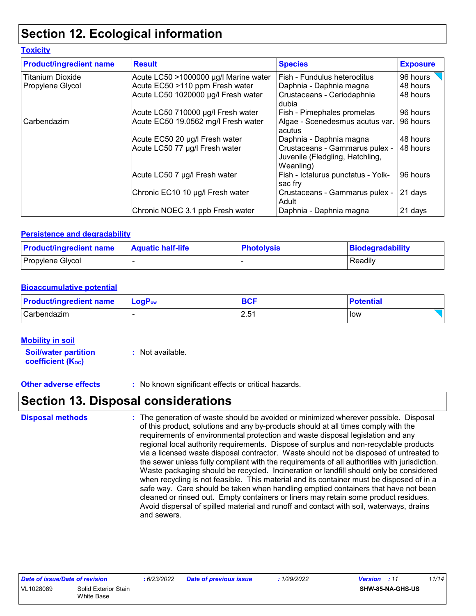### **Section 12. Ecological information**

#### **Toxicity**

| <b>Product/ingredient name</b> | <b>Result</b>                         | <b>Species</b>                                                                 | <b>Exposure</b> |
|--------------------------------|---------------------------------------|--------------------------------------------------------------------------------|-----------------|
| <b>Titanium Dioxide</b>        | Acute LC50 >1000000 µg/l Marine water | Fish - Fundulus heteroclitus                                                   | 96 hours        |
| Propylene Glycol               | Acute EC50 >110 ppm Fresh water       | Daphnia - Daphnia magna                                                        | 48 hours        |
|                                | Acute LC50 1020000 µg/l Fresh water   | Crustaceans - Ceriodaphnia<br>dubia                                            | 48 hours        |
|                                | Acute LC50 710000 µg/l Fresh water    | Fish - Pimephales promelas                                                     | 96 hours        |
| Carbendazim                    | Acute EC50 19.0562 mg/l Fresh water   | Algae - Scenedesmus acutus var.<br>acutus                                      | 96 hours        |
|                                | Acute EC50 20 µg/l Fresh water        | Daphnia - Daphnia magna                                                        | 48 hours        |
|                                | Acute LC50 77 µg/l Fresh water        | Crustaceans - Gammarus pulex -<br>Juvenile (Fledgling, Hatchling,<br>Weanling) | 48 hours        |
|                                | Acute LC50 7 µg/l Fresh water         | Fish - Ictalurus punctatus - Yolk-<br>sac fry                                  | 96 hours        |
|                                | Chronic EC10 10 µg/l Fresh water      | Crustaceans - Gammarus pulex -<br>Adult                                        | 21 days         |
|                                | Chronic NOEC 3.1 ppb Fresh water      | Daphnia - Daphnia magna                                                        | 21 days         |

#### **Persistence and degradability**

| <b>Product/ingredient name</b> | <b>Aquatic half-life</b> | <b>Photolysis</b> | Biodegradability |
|--------------------------------|--------------------------|-------------------|------------------|
| Propylene Glycol               |                          |                   | Readily          |

#### **Bioaccumulative potential**

| <b>Product/ingredient name</b> | ∣ LoqP <sub>ow</sub>     | <b>BCF</b> | <b>Potential</b> |
|--------------------------------|--------------------------|------------|------------------|
| Carbendazim                    | $\overline{\phantom{a}}$ | Б1<br>. ت  | low              |

#### **Mobility in soil**

**Soil/water partition coefficient (K**<sub>oc</sub>) **:** Not available.

**Other adverse effects :** No known significant effects or critical hazards.

### **Section 13. Disposal considerations**

The generation of waste should be avoided or minimized wherever possible. Disposal of this product, solutions and any by-products should at all times comply with the requirements of environmental protection and waste disposal legislation and any regional local authority requirements. Dispose of surplus and non-recyclable products via a licensed waste disposal contractor. Waste should not be disposed of untreated to the sewer unless fully compliant with the requirements of all authorities with jurisdiction. Waste packaging should be recycled. Incineration or landfill should only be considered when recycling is not feasible. This material and its container must be disposed of in a safe way. Care should be taken when handling emptied containers that have not been cleaned or rinsed out. Empty containers or liners may retain some product residues. Avoid dispersal of spilled material and runoff and contact with soil, waterways, drains and sewers. **Disposal methods :**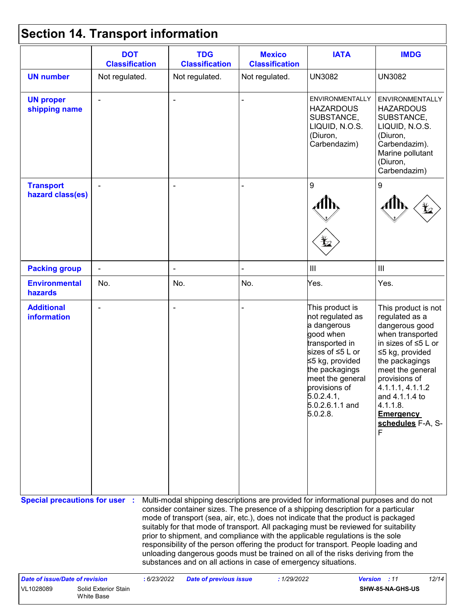## **Section 14. Transport information**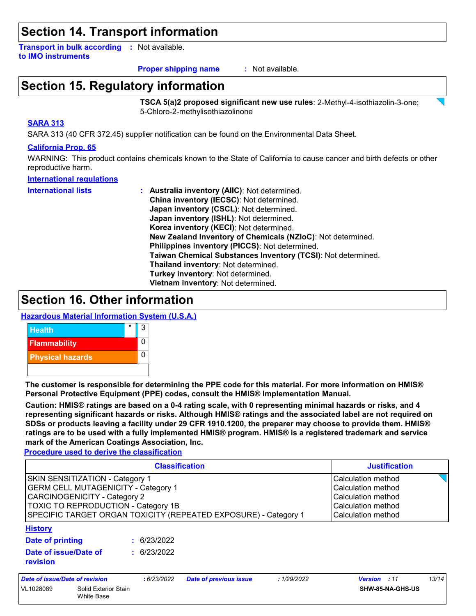### **Section 14. Transport information**

**Transport in bulk according :** Not available. **to IMO instruments**

#### : Not available. **Proper shipping name :**

### **Section 15. Regulatory information**

**TSCA 5(a)2 proposed significant new use rules**: 2-Methyl-4-isothiazolin-3-one; 5-Chloro-2-methylisothiazolinone

#### **SARA 313**

SARA 313 (40 CFR 372.45) supplier notification can be found on the Environmental Data Sheet.

#### **California Prop. 65**

WARNING: This product contains chemicals known to the State of California to cause cancer and birth defects or other reproductive harm.

#### **International regulations**

- **International lists :**
- **Australia inventory (AIIC)**: Not determined. **China inventory (IECSC)**: Not determined. **Japan inventory (CSCL)**: Not determined. **Japan inventory (ISHL)**: Not determined. **Korea inventory (KECI)**: Not determined. **New Zealand Inventory of Chemicals (NZIoC)**: Not determined. **Philippines inventory (PICCS)**: Not determined. **Taiwan Chemical Substances Inventory (TCSI)**: Not determined. **Thailand inventory**: Not determined. **Turkey inventory**: Not determined. **Vietnam inventory**: Not determined.

### **Section 16. Other information**

#### **Hazardous Material Information System (U.S.A.)**



**The customer is responsible for determining the PPE code for this material. For more information on HMIS® Personal Protective Equipment (PPE) codes, consult the HMIS® Implementation Manual.**

**Caution: HMIS® ratings are based on a 0-4 rating scale, with 0 representing minimal hazards or risks, and 4 representing significant hazards or risks. Although HMIS® ratings and the associated label are not required on SDSs or products leaving a facility under 29 CFR 1910.1200, the preparer may choose to provide them. HMIS® ratings are to be used with a fully implemented HMIS® program. HMIS® is a registered trademark and service mark of the American Coatings Association, Inc.**

**Procedure used to derive the classification**

| <b>Classification</b>                                                                                                                                                                                                   |                                    |  |             |                               |             | <b>Justification</b>                                                                                       |       |  |
|-------------------------------------------------------------------------------------------------------------------------------------------------------------------------------------------------------------------------|------------------------------------|--|-------------|-------------------------------|-------------|------------------------------------------------------------------------------------------------------------|-------|--|
| SKIN SENSITIZATION - Category 1<br><b>GERM CELL MUTAGENICITY - Category 1</b><br>CARCINOGENICITY - Category 2<br>TOXIC TO REPRODUCTION - Category 1B<br>SPECIFIC TARGET ORGAN TOXICITY (REPEATED EXPOSURE) - Category 1 |                                    |  |             |                               |             | Calculation method<br>Calculation method<br>Calculation method<br>Calculation method<br>Calculation method |       |  |
| <b>History</b>                                                                                                                                                                                                          |                                    |  |             |                               |             |                                                                                                            |       |  |
| <b>Date of printing</b>                                                                                                                                                                                                 |                                    |  | : 6/23/2022 |                               |             |                                                                                                            |       |  |
| Date of issue/Date of<br>revision                                                                                                                                                                                       |                                    |  | : 6/23/2022 |                               |             |                                                                                                            |       |  |
|                                                                                                                                                                                                                         | Date of issue/Date of revision     |  | : 6/23/2022 | <b>Date of previous issue</b> | : 1/29/2022 | <b>Version</b> : 11                                                                                        | 13/14 |  |
| VL1028089                                                                                                                                                                                                               | Solid Exterior Stain<br>White Base |  |             |                               |             | SHW-85-NA-GHS-US                                                                                           |       |  |